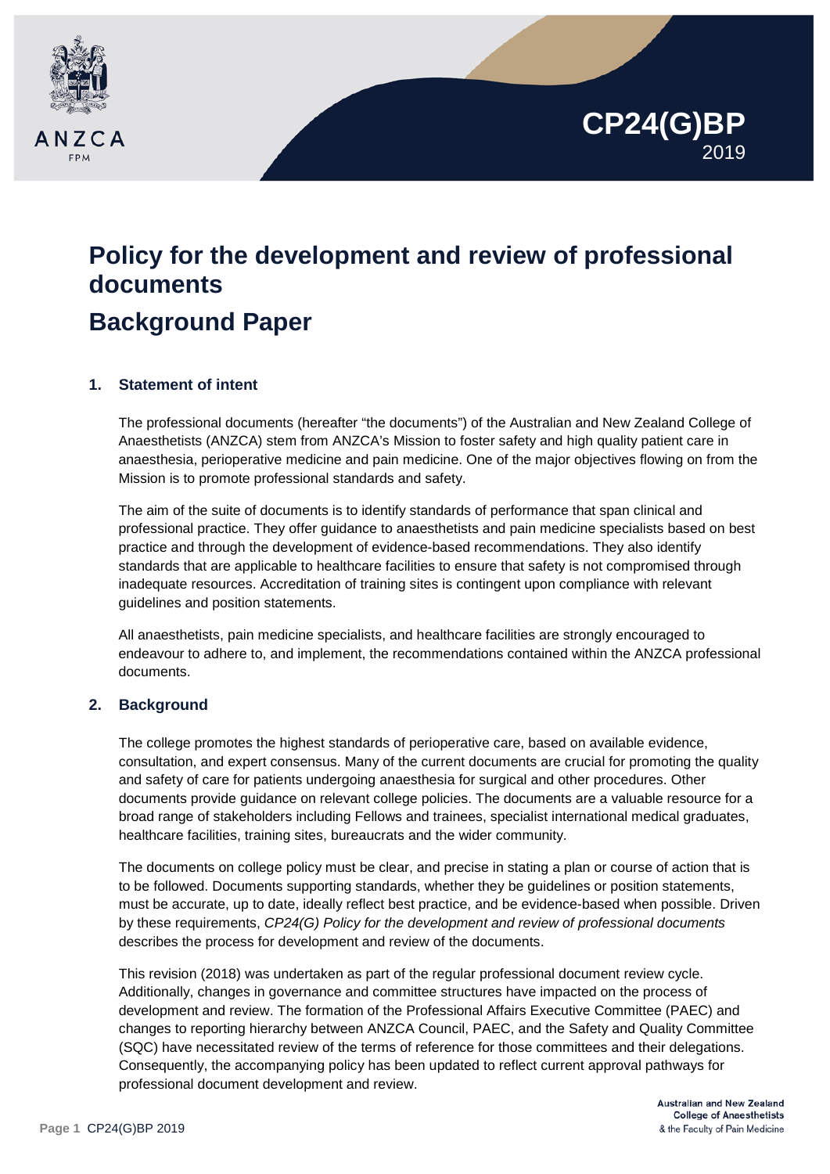

# **Policy for the development and review of professional documents Background Paper**

## **1. Statement of intent**

The professional documents (hereafter "the documents") of the Australian and New Zealand College of Anaesthetists (ANZCA) stem from ANZCA's Mission to foster safety and high quality patient care in anaesthesia, perioperative medicine and pain medicine. One of the major objectives flowing on from the Mission is to promote professional standards and safety.

The aim of the suite of documents is to identify standards of performance that span clinical and professional practice. They offer guidance to anaesthetists and pain medicine specialists based on best practice and through the development of evidence-based recommendations. They also identify standards that are applicable to healthcare facilities to ensure that safety is not compromised through inadequate resources. Accreditation of training sites is contingent upon compliance with relevant guidelines and position statements.

All anaesthetists, pain medicine specialists, and healthcare facilities are strongly encouraged to endeavour to adhere to, and implement, the recommendations contained within the ANZCA professional documents.

## **2. Background**

The college promotes the highest standards of perioperative care, based on available evidence, consultation, and expert consensus. Many of the current documents are crucial for promoting the quality and safety of care for patients undergoing anaesthesia for surgical and other procedures. Other documents provide guidance on relevant college policies. The documents are a valuable resource for a broad range of stakeholders including Fellows and trainees, specialist international medical graduates, healthcare facilities, training sites, bureaucrats and the wider community.

The documents on college policy must be clear, and precise in stating a plan or course of action that is to be followed. Documents supporting standards, whether they be guidelines or position statements, must be accurate, up to date, ideally reflect best practice, and be evidence-based when possible. Driven by these requirements, *CP24(G) Policy for the development and review of professional documents*  describes the process for development and review of the documents.

This revision (2018) was undertaken as part of the regular professional document review cycle. Additionally, changes in governance and committee structures have impacted on the process of development and review. The formation of the Professional Affairs Executive Committee (PAEC) and changes to reporting hierarchy between ANZCA Council, PAEC, and the Safety and Quality Committee (SQC) have necessitated review of the terms of reference for those committees and their delegations. Consequently, the accompanying policy has been updated to reflect current approval pathways for professional document development and review.

**CP24(G)BP**

2019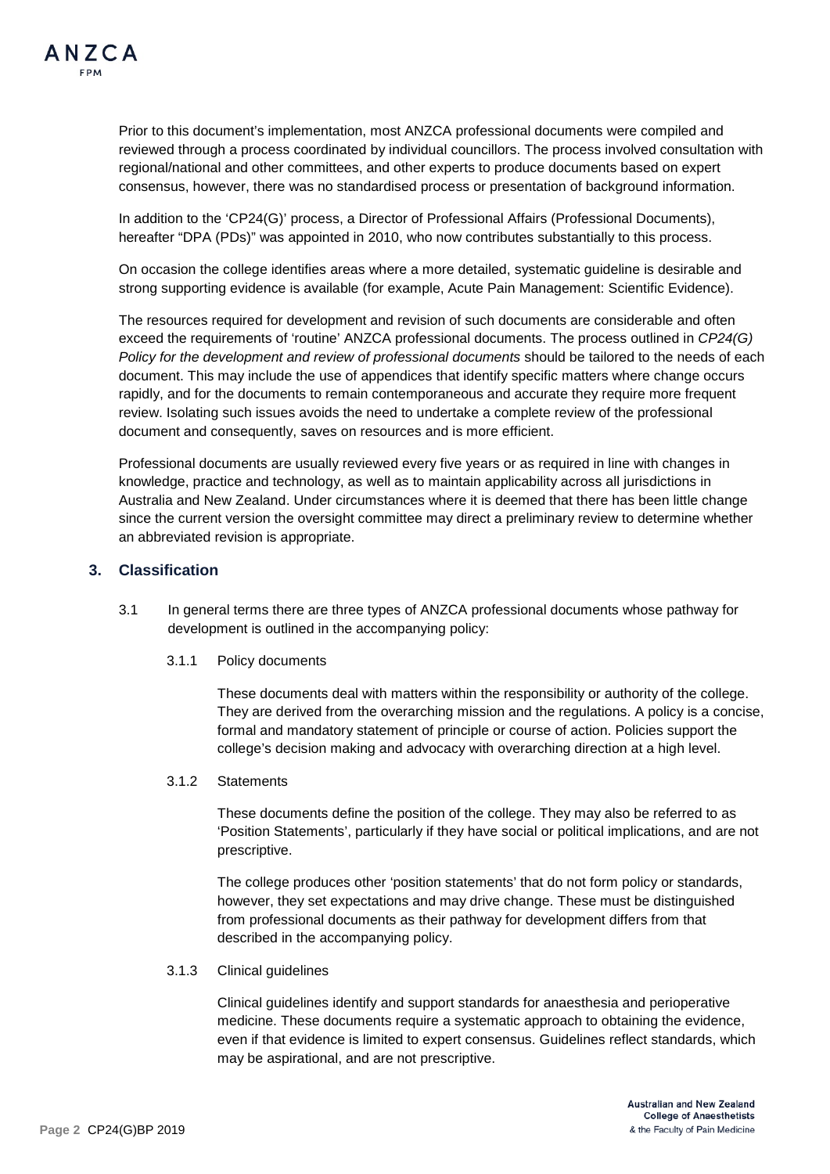Prior to this document's implementation, most ANZCA professional documents were compiled and reviewed through a process coordinated by individual councillors. The process involved consultation with regional/national and other committees, and other experts to produce documents based on expert consensus, however, there was no standardised process or presentation of background information.

In addition to the 'CP24(G)' process, a Director of Professional Affairs (Professional Documents), hereafter "DPA (PDs)" was appointed in 2010, who now contributes substantially to this process.

On occasion the college identifies areas where a more detailed, systematic guideline is desirable and strong supporting evidence is available (for example, Acute Pain Management: Scientific Evidence).

The resources required for development and revision of such documents are considerable and often exceed the requirements of 'routine' ANZCA professional documents. The process outlined in *CP24(G) Policy for the development and review of professional documents* should be tailored to the needs of each document. This may include the use of appendices that identify specific matters where change occurs rapidly, and for the documents to remain contemporaneous and accurate they require more frequent review. Isolating such issues avoids the need to undertake a complete review of the professional document and consequently, saves on resources and is more efficient.

Professional documents are usually reviewed every five years or as required in line with changes in knowledge, practice and technology, as well as to maintain applicability across all jurisdictions in Australia and New Zealand. Under circumstances where it is deemed that there has been little change since the current version the oversight committee may direct a preliminary review to determine whether an abbreviated revision is appropriate.

#### **3. Classification**

- 3.1 In general terms there are three types of ANZCA professional documents whose pathway for development is outlined in the accompanying policy:
	- 3.1.1 Policy documents

These documents deal with matters within the responsibility or authority of the college. They are derived from the overarching mission and the regulations. A policy is a concise, formal and mandatory statement of principle or course of action. Policies support the college's decision making and advocacy with overarching direction at a high level.

3.1.2 Statements

These documents define the position of the college. They may also be referred to as 'Position Statements', particularly if they have social or political implications, and are not prescriptive.

The college produces other 'position statements' that do not form policy or standards, however, they set expectations and may drive change. These must be distinguished from professional documents as their pathway for development differs from that described in the accompanying policy.

3.1.3 Clinical guidelines

Clinical guidelines identify and support standards for anaesthesia and perioperative medicine. These documents require a systematic approach to obtaining the evidence, even if that evidence is limited to expert consensus. Guidelines reflect standards, which may be aspirational, and are not prescriptive.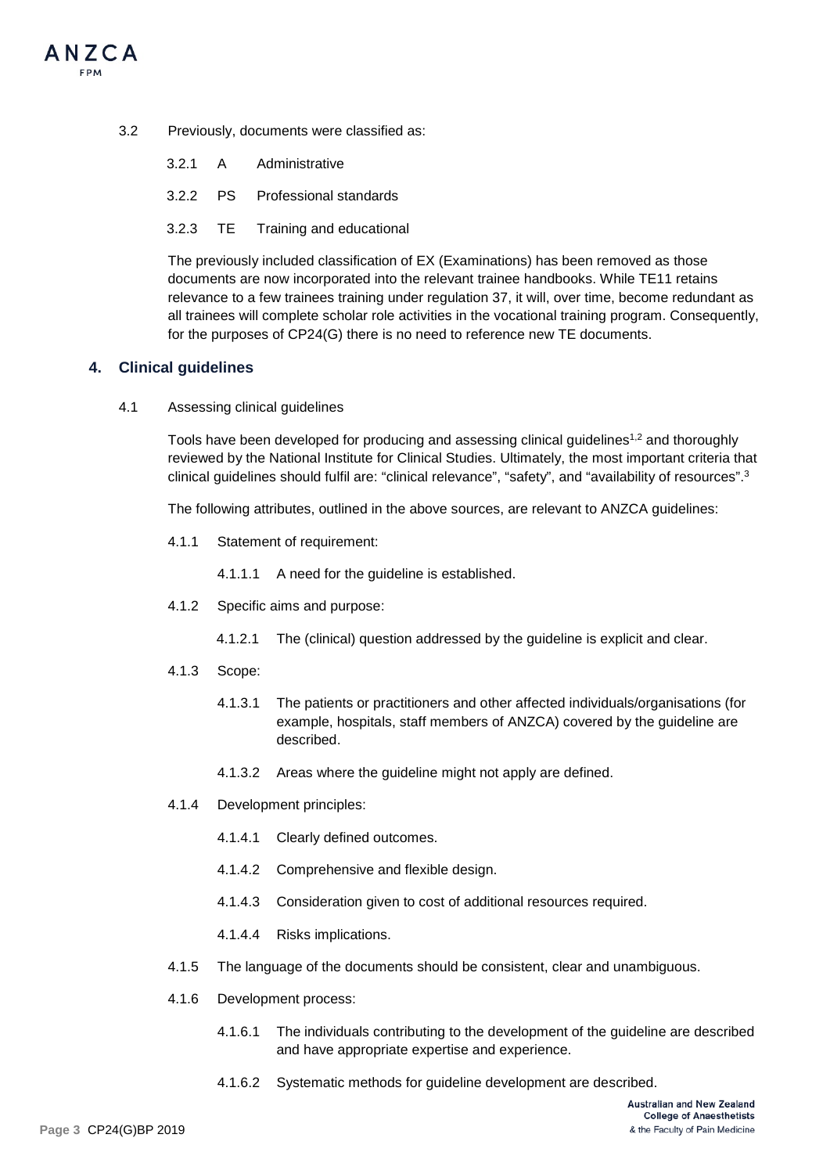

3.2 Previously, documents were classified as:

|  | 3.2.1 A Administrative            |
|--|-----------------------------------|
|  | 3.2.2 PS Professional standards   |
|  | 3.2.3 TE Training and educational |

The previously included classification of EX (Examinations) has been removed as those documents are now incorporated into the relevant trainee handbooks. While TE11 retains relevance to a few trainees training under regulation 37, it will, over time, become redundant as all trainees will complete scholar role activities in the vocational training program. Consequently, for the purposes of CP24(G) there is no need to reference new TE documents.

#### **4. Clinical guidelines**

4.1 Assessing clinical guidelines

Tools have been developed for producing and assessing clinical guidelines<sup>1,2</sup> and thoroughly reviewed by the National Institute for Clinical Studies. Ultimately, the most important criteria that clinical guidelines should fulfil are: "clinical relevance", "safety", and "availability of resources".3

The following attributes, outlined in the above sources, are relevant to ANZCA guidelines:

4.1.1 Statement of requirement:

4.1.1.1 A need for the guideline is established.

- 4.1.2 Specific aims and purpose:
	- 4.1.2.1 The (clinical) question addressed by the guideline is explicit and clear.
- 4.1.3 Scope:
	- 4.1.3.1 The patients or practitioners and other affected individuals/organisations (for example, hospitals, staff members of ANZCA) covered by the guideline are described.
	- 4.1.3.2 Areas where the guideline might not apply are defined.
- 4.1.4 Development principles:
	- 4.1.4.1 Clearly defined outcomes.
	- 4.1.4.2 Comprehensive and flexible design.
	- 4.1.4.3 Consideration given to cost of additional resources required.
	- 4.1.4.4 Risks implications.
- 4.1.5 The language of the documents should be consistent, clear and unambiguous.
- 4.1.6 Development process:
	- 4.1.6.1 The individuals contributing to the development of the guideline are described and have appropriate expertise and experience.
	- 4.1.6.2 Systematic methods for guideline development are described.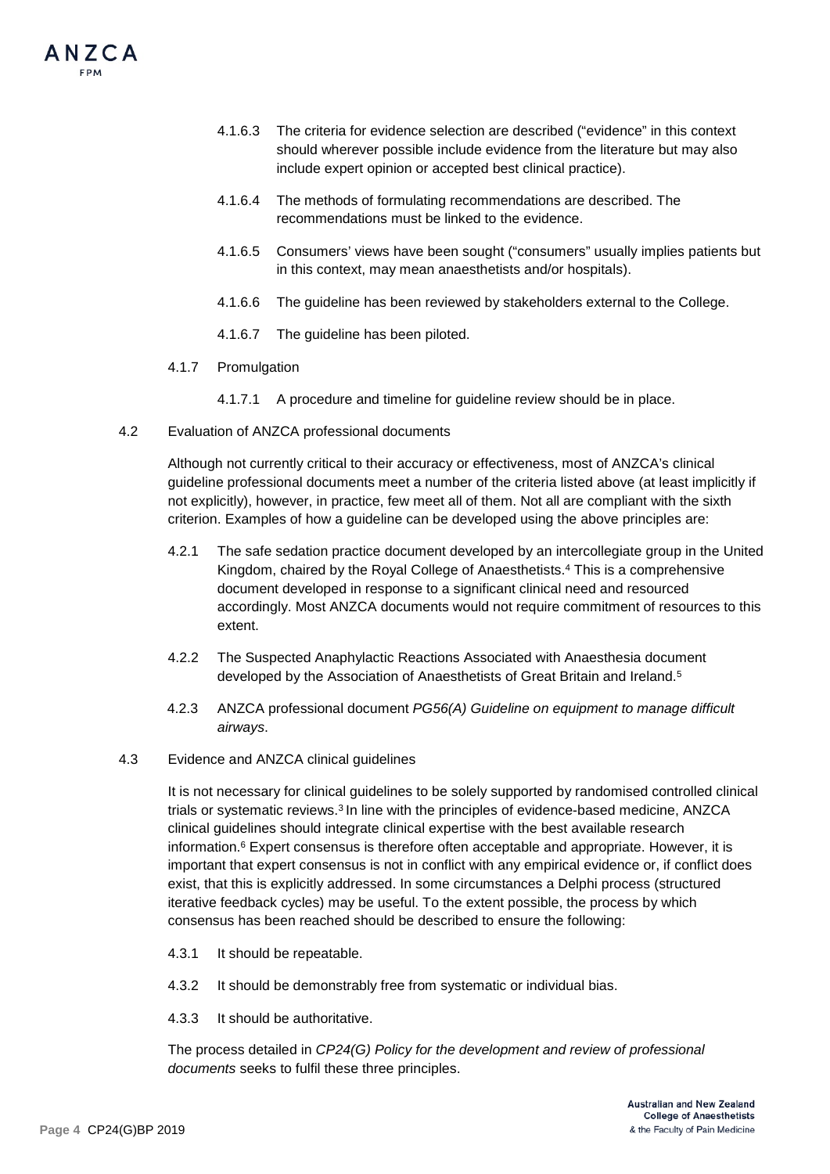

- 4.1.6.3 The criteria for evidence selection are described ("evidence" in this context should wherever possible include evidence from the literature but may also include expert opinion or accepted best clinical practice).
- 4.1.6.4 The methods of formulating recommendations are described. The recommendations must be linked to the evidence.
- 4.1.6.5 Consumers' views have been sought ("consumers" usually implies patients but in this context, may mean anaesthetists and/or hospitals).
- 4.1.6.6 The guideline has been reviewed by stakeholders external to the College.
- 4.1.6.7 The guideline has been piloted.
- 4.1.7 Promulgation
	- 4.1.7.1 A procedure and timeline for guideline review should be in place.
- 4.2 Evaluation of ANZCA professional documents

Although not currently critical to their accuracy or effectiveness, most of ANZCA's clinical guideline professional documents meet a number of the criteria listed above (at least implicitly if not explicitly), however, in practice, few meet all of them. Not all are compliant with the sixth criterion. Examples of how a guideline can be developed using the above principles are:

- 4.2.1 The safe sedation practice document developed by an intercollegiate group in the United Kingdom, chaired by the Royal College of Anaesthetists.4 This is a comprehensive document developed in response to a significant clinical need and resourced accordingly. Most ANZCA documents would not require commitment of resources to this extent.
- 4.2.2 The Suspected Anaphylactic Reactions Associated with Anaesthesia document developed by the Association of Anaesthetists of Great Britain and Ireland.5
- 4.2.3 ANZCA professional document *PG56(A) Guideline on equipment to manage difficult airways*.
- 4.3 Evidence and ANZCA clinical guidelines

It is not necessary for clinical guidelines to be solely supported by randomised controlled clinical trials or systematic reviews.3 In line with the principles of evidence-based medicine, ANZCA clinical guidelines should integrate clinical expertise with the best available research information. $6$  Expert consensus is therefore often acceptable and appropriate. However, it is important that expert consensus is not in conflict with any empirical evidence or, if conflict does exist, that this is explicitly addressed. In some circumstances a Delphi process (structured iterative feedback cycles) may be useful. To the extent possible, the process by which consensus has been reached should be described to ensure the following:

- 4.3.1 It should be repeatable.
- 4.3.2 It should be demonstrably free from systematic or individual bias.
- 4.3.3 It should be authoritative.

The process detailed in *CP24(G) Policy for the development and review of professional documents* seeks to fulfil these three principles.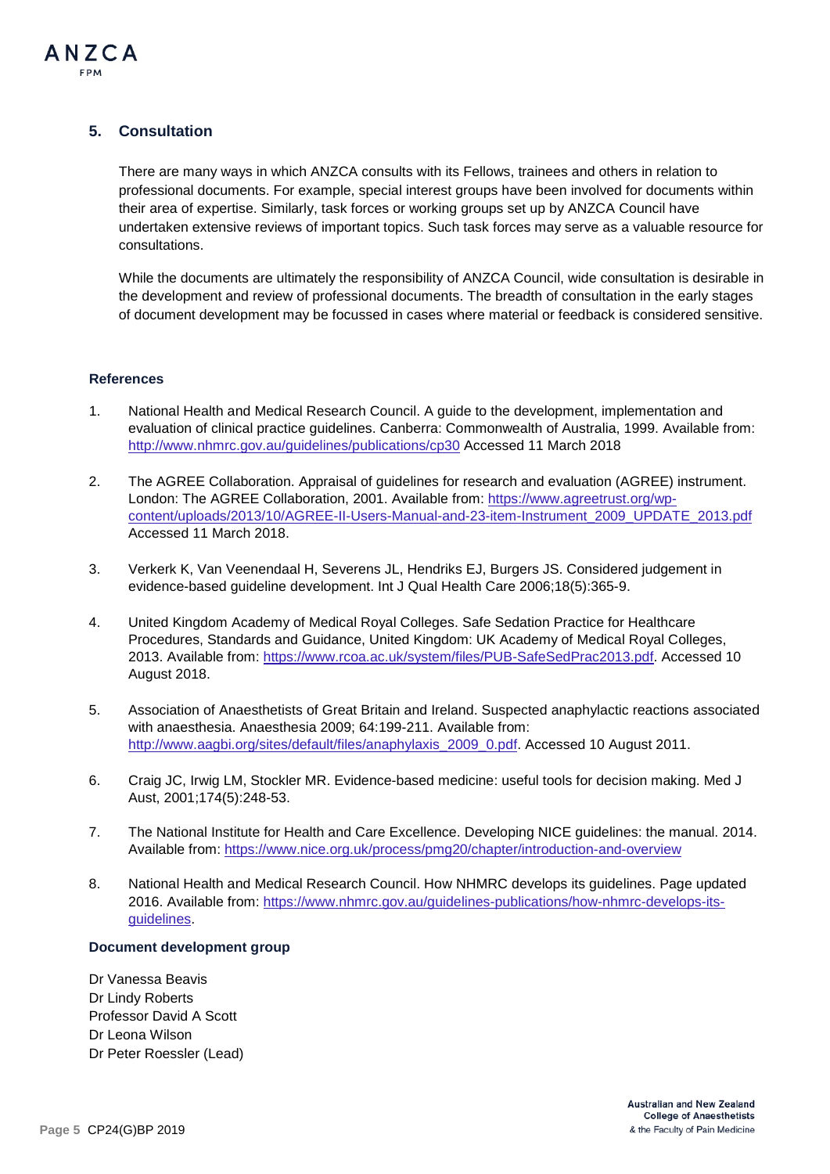

## **5. Consultation**

There are many ways in which ANZCA consults with its Fellows, trainees and others in relation to professional documents. For example, special interest groups have been involved for documents within their area of expertise. Similarly, task forces or working groups set up by ANZCA Council have undertaken extensive reviews of important topics. Such task forces may serve as a valuable resource for consultations.

While the documents are ultimately the responsibility of ANZCA Council, wide consultation is desirable in the development and review of professional documents. The breadth of consultation in the early stages of document development may be focussed in cases where material or feedback is considered sensitive.

#### **References**

- 1. National Health and Medical Research Council. A guide to the development, implementation and evaluation of clinical practice guidelines. Canberra: Commonwealth of Australia, 1999. Available from: <http://www.nhmrc.gov.au/guidelines/publications/cp30> Accessed 11 March 2018
- 2. The AGREE Collaboration. Appraisal of guidelines for research and evaluation (AGREE) instrument. London: The AGREE Collaboration, 2001. Available from: [https://www.agreetrust.org/wp](https://www.agreetrust.org/wp-content/uploads/2013/10/AGREE-II-Users-Manual-and-23-item-Instrument_2009_UPDATE_2013.pdf)[content/uploads/2013/10/AGREE-II-Users-Manual-and-23-item-Instrument\\_2009\\_UPDATE\\_2013.pdf](https://www.agreetrust.org/wp-content/uploads/2013/10/AGREE-II-Users-Manual-and-23-item-Instrument_2009_UPDATE_2013.pdf)  Accessed 11 March 2018.
- 3. Verkerk K, Van Veenendaal H, Severens JL, Hendriks EJ, Burgers JS. Considered judgement in evidence-based guideline development. Int J Qual Health Care 2006;18(5):365-9.
- 4. United Kingdom Academy of Medical Royal Colleges. Safe Sedation Practice for Healthcare Procedures, Standards and Guidance, United Kingdom: UK Academy of Medical Royal Colleges, 2013. Available from: [https://www.rcoa.ac.uk/system/files/PUB-SafeSedPrac2013.pdf.](https://www.rcoa.ac.uk/system/files/PUB-SafeSedPrac2013.pdf) Accessed 10 August 2018.
- 5. Association of Anaesthetists of Great Britain and Ireland. Suspected anaphylactic reactions associated with anaesthesia. Anaesthesia 2009; 64:199-211. Available from: [http://www.aagbi.org/sites/default/files/anaphylaxis\\_2009\\_0.pdf.](http://www.aagbi.org/sites/default/files/anaphylaxis_2009_0.pdf) Accessed 10 August 2011.
- 6. Craig JC, Irwig LM, Stockler MR. Evidence-based medicine: useful tools for decision making. Med J Aust, 2001;174(5):248-53.
- 7. The National Institute for Health and Care Excellence. Developing NICE guidelines: the manual. 2014. Available from: <https://www.nice.org.uk/process/pmg20/chapter/introduction-and-overview>
- 8. National Health and Medical Research Council. How NHMRC develops its guidelines. Page updated 2016. Available from: [https://www.nhmrc.gov.au/guidelines-publications/how-nhmrc-develops-its](https://www.nhmrc.gov.au/guidelines-publications/how-nhmrc-develops-its-guidelines)[guidelines.](https://www.nhmrc.gov.au/guidelines-publications/how-nhmrc-develops-its-guidelines)

#### **Document development group**

Dr Vanessa Beavis Dr Lindy Roberts Professor David A Scott Dr Leona Wilson Dr Peter Roessler (Lead)